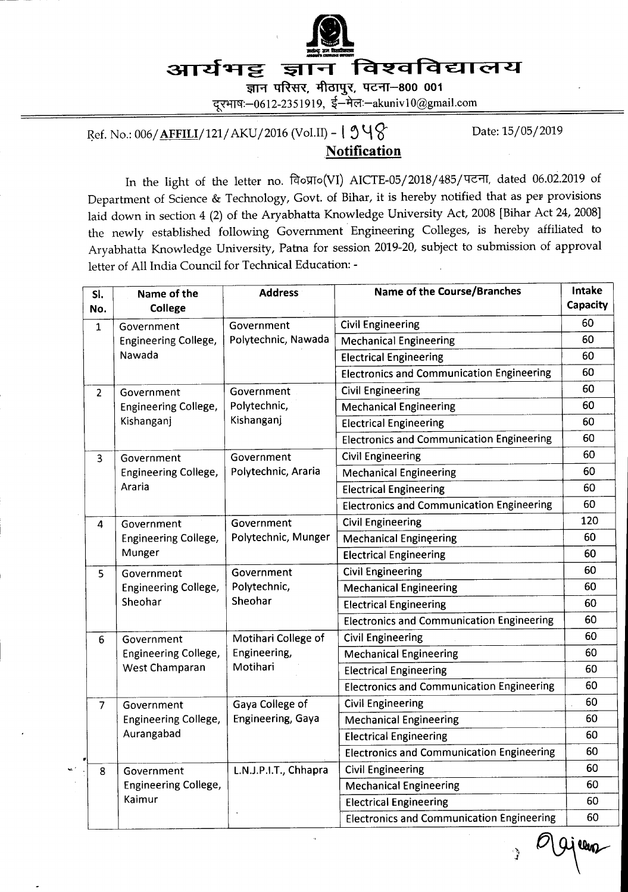

ज्ञान परिसर, मीठापुर, पटना-800 001 दरभाषः-0612-2351919, ई-मेलः-akuniv 10@gmail.com

Ref. No.: 006/**AFFILI**/121/AKU/2016 (Vol.II) -  $1 \text{9} \text{4} \text{8}$  Date: 15/05/2019

## **Notification**

In the light of the letter no.  $\widehat{q}$ oglo(VI) AICTE-05/2018/485/पटना, dated 06.02.2019 of Department of Science & Technology, Govt. of Bihar, it is hereby notified that as per provisions laid down in section 4 (2) of the Aryabhatta Knowledge University Act, 2008 [Bihar Act 24, 2008] the newly established following Government Engineering Colleges, is hereby affiliated to Aryabhatta Knowledge University, Patra for session 2079-20, subject to submission of approval letter of All India Council for Technical Education: -

| SI.<br>No.              | Name of the<br>College                               | <b>Address</b>                                  | <b>Name of the Course/Branches</b>               | Intake<br>Capacity |
|-------------------------|------------------------------------------------------|-------------------------------------------------|--------------------------------------------------|--------------------|
| $\mathbf{1}$            | Government<br>Engineering College,<br>Nawada         | Government<br>Polytechnic, Nawada               | <b>Civil Engineering</b>                         | 60                 |
|                         |                                                      |                                                 | <b>Mechanical Engineering</b>                    | 60                 |
|                         |                                                      |                                                 | <b>Electrical Engineering</b>                    | 60                 |
|                         |                                                      |                                                 | <b>Electronics and Communication Engineering</b> | 60                 |
| $\overline{2}$          | Government<br>Engineering College,<br>Kishanganj     | Government<br>Polytechnic,<br>Kishanganj        | <b>Civil Engineering</b>                         | 60                 |
|                         |                                                      |                                                 | <b>Mechanical Engineering</b>                    | 60                 |
|                         |                                                      |                                                 | <b>Electrical Engineering</b>                    | 60                 |
|                         |                                                      |                                                 | <b>Electronics and Communication Engineering</b> | 60                 |
| $\overline{\mathbf{3}}$ | Government<br>Engineering College,<br>Araria         | Government<br>Polytechnic, Araria               | <b>Civil Engineering</b>                         | 60                 |
|                         |                                                      |                                                 | <b>Mechanical Engineering</b>                    | 60                 |
|                         |                                                      |                                                 | <b>Electrical Engineering</b>                    | 60                 |
|                         |                                                      |                                                 | <b>Electronics and Communication Engineering</b> | 60                 |
| 4                       | Government                                           | Government                                      | <b>Civil Engineering</b>                         | 120                |
|                         | Engineering College,                                 | Polytechnic, Munger                             | <b>Mechanical Engineering</b>                    | 60                 |
|                         | Munger                                               |                                                 | <b>Electrical Engineering</b>                    | 60                 |
| 5                       | Government                                           | Government                                      | <b>Civil Engineering</b>                         | 60                 |
|                         | <b>Engineering College,</b>                          | Polytechnic,                                    | <b>Mechanical Engineering</b>                    | 60                 |
|                         | Sheohar                                              | Sheohar                                         | <b>Electrical Engineering</b>                    | 60                 |
|                         |                                                      |                                                 | <b>Electronics and Communication Engineering</b> | 60                 |
| 6                       | Government<br>Engineering College,<br>West Champaran | Motihari College of<br>Engineering,<br>Motihari | <b>Civil Engineering</b>                         | 60                 |
|                         |                                                      |                                                 | <b>Mechanical Engineering</b>                    | 60                 |
|                         |                                                      |                                                 | <b>Electrical Engineering</b>                    | 60                 |
|                         |                                                      |                                                 | <b>Electronics and Communication Engineering</b> | 60                 |
| $\overline{7}$          | Government<br>Engineering College,                   | Gaya College of<br>Engineering, Gaya            | <b>Civil Engineering</b>                         | 60                 |
|                         |                                                      |                                                 | <b>Mechanical Engineering</b>                    | 60                 |
|                         | Aurangabad                                           |                                                 | <b>Electrical Engineering</b>                    | 60                 |
|                         |                                                      |                                                 | <b>Electronics and Communication Engineering</b> | 60                 |
| 8                       | Government                                           | L.N.J.P.I.T., Chhapra                           | <b>Civil Engineering</b>                         | 60                 |
|                         | Engineering College,                                 |                                                 | <b>Mechanical Engineering</b>                    | 60                 |
|                         | Kaimur                                               |                                                 | <b>Electrical Engineering</b>                    | 60                 |
|                         |                                                      |                                                 | <b>Electronics and Communication Engineering</b> | 60                 |
|                         |                                                      |                                                 |                                                  | llen               |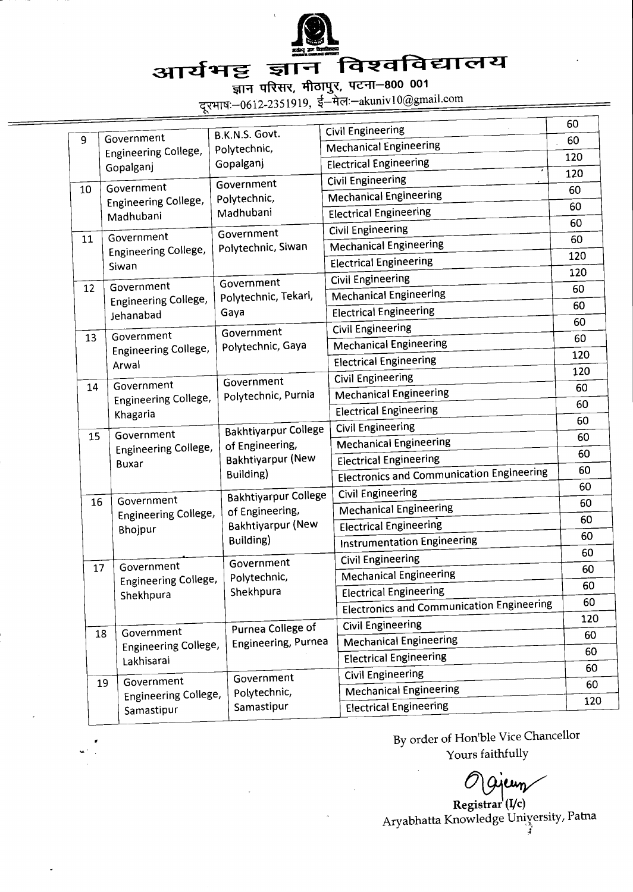

## विश्वविद्यालय आर्यभट्ट ज्ञान

ज्ञान परिसर, मीठापुर, पटना-800 001<br>दूरभाष:-0612-2351919, ई-मेल:-akuniv10@gmail.com

|          |                                                                                                      | B.K.N.S. Govt.                                                                                                                                                                   | <b>Civil Engineering</b>                         | 60  |
|----------|------------------------------------------------------------------------------------------------------|----------------------------------------------------------------------------------------------------------------------------------------------------------------------------------|--------------------------------------------------|-----|
| 9        | Government<br>Engineering College,<br>Gopalganj                                                      | Polytechnic,                                                                                                                                                                     | <b>Mechanical Engineering</b>                    | 60  |
|          |                                                                                                      | Gopalganj                                                                                                                                                                        | <b>Electrical Engineering</b>                    | 120 |
|          |                                                                                                      | Government                                                                                                                                                                       | <b>Civil Engineering</b>                         | 120 |
| 10       | Government<br>Engineering College,<br>Madhubani                                                      | Polytechnic,                                                                                                                                                                     | <b>Mechanical Engineering</b>                    | 60  |
|          |                                                                                                      | Madhubani<br>Government                                                                                                                                                          | <b>Electrical Engineering</b>                    | 60  |
|          |                                                                                                      |                                                                                                                                                                                  | Civil Engineering                                | 60  |
| 11       | Government<br>Engineering College,<br>Siwan                                                          | Polytechnic, Siwan<br>Government                                                                                                                                                 | <b>Mechanical Engineering</b>                    | 60  |
|          |                                                                                                      |                                                                                                                                                                                  | <b>Electrical Engineering</b>                    | 120 |
|          |                                                                                                      |                                                                                                                                                                                  | <b>Civil Engineering</b>                         | 120 |
| 12       | Government<br>Engineering College,<br>Jehanabad                                                      | Polytechnic, Tekari,<br>Gaya<br>Government                                                                                                                                       | <b>Mechanical Engineering</b>                    | 60  |
|          |                                                                                                      |                                                                                                                                                                                  | <b>Electrical Engineering</b>                    | 60  |
|          |                                                                                                      |                                                                                                                                                                                  | <b>Civil Engineering</b>                         | 60  |
| 13<br>14 | Government<br><b>Engineering College,</b><br>Arwal<br>Government<br>Engineering College,<br>Khagaria | Polytechnic, Gaya<br>Government<br>Polytechnic, Purnia<br><b>Bakhtiyarpur College</b><br>of Engineering,<br><b>Bakhtiyarpur (New</b><br>Building)<br><b>Bakhtiyarpur College</b> | <b>Mechanical Engineering</b>                    | 60  |
|          |                                                                                                      |                                                                                                                                                                                  | <b>Electrical Engineering</b>                    | 120 |
|          |                                                                                                      |                                                                                                                                                                                  | <b>Civil Engineering</b>                         | 120 |
|          |                                                                                                      |                                                                                                                                                                                  | <b>Mechanical Engineering</b>                    | 60  |
|          |                                                                                                      |                                                                                                                                                                                  | <b>Electrical Engineering</b>                    | 60  |
|          |                                                                                                      |                                                                                                                                                                                  | Civil Engineering                                | 60  |
| 15       | Government<br>Engineering College,<br><b>Buxar</b>                                                   |                                                                                                                                                                                  | <b>Mechanical Engineering</b>                    | 60  |
|          |                                                                                                      |                                                                                                                                                                                  | <b>Electrical Engineering</b>                    | 60  |
|          |                                                                                                      |                                                                                                                                                                                  | <b>Electronics and Communication Engineering</b> | 60  |
|          |                                                                                                      |                                                                                                                                                                                  | <b>Civil Engineering</b>                         | 60  |
| 16       | Government<br>Engineering College,<br>Bhojpur                                                        | of Engineering,<br><b>Bakhtiyarpur (New</b><br>Building)<br>Government                                                                                                           | <b>Mechanical Engineering</b>                    | 60  |
|          |                                                                                                      |                                                                                                                                                                                  | <b>Electrical Engineering</b>                    | 60  |
|          |                                                                                                      |                                                                                                                                                                                  | <b>Instrumentation Engineering</b>               | 60  |
|          |                                                                                                      |                                                                                                                                                                                  | <b>Civil Engineering</b>                         | 60  |
| 17       | Government<br>Engineering College,<br>Shekhpura                                                      | Polytechnic,<br>Shekhpura<br>Purnea College of                                                                                                                                   | <b>Mechanical Engineering</b>                    | 60  |
|          |                                                                                                      |                                                                                                                                                                                  | <b>Electrical Engineering</b>                    | 60  |
|          |                                                                                                      |                                                                                                                                                                                  | <b>Electronics and Communication Engineering</b> | 60  |
|          |                                                                                                      |                                                                                                                                                                                  | <b>Civil Engineering</b>                         | 120 |
| 18       | Government<br>Engineering College,<br>Lakhisarai                                                     | <b>Engineering, Purnea</b>                                                                                                                                                       | <b>Mechanical Engineering</b>                    | 60  |
|          |                                                                                                      |                                                                                                                                                                                  | <b>Electrical Engineering</b>                    | 60  |
| 19       | Government<br>Engineering College,<br>Samastipur                                                     | Government<br>Polytechnic,<br>Samastipur                                                                                                                                         | <b>Civil Engineering</b>                         | 60  |
|          |                                                                                                      |                                                                                                                                                                                  | <b>Mechanical Engineering</b>                    | 60  |
|          |                                                                                                      |                                                                                                                                                                                  | <b>Electrical Engineering</b>                    | 120 |

By order of Hon'ble Vice Chancellor Yours faithfully

yeun

 $\text{Registrar}^{\mathfrak{l}}(I/c)$ Aryabhatta Knowledge University, Patna